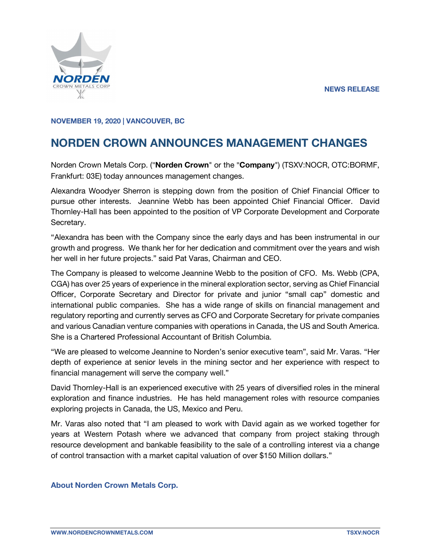

## **NOVEMBER 19, 2020 | VANCOUVER, BC**

## **NORDEN CROWN ANNOUNCES MANAGEMENT CHANGES**

Norden Crown Metals Corp. ("**Norden Crown**" or the "**Company**") (TSXV:NOCR, OTC:BORMF, Frankfurt: 03E) today announces management changes.

Alexandra Woodyer Sherron is stepping down from the position of Chief Financial Officer to pursue other interests. Jeannine Webb has been appointed Chief Financial Officer. David Thornley-Hall has been appointed to the position of VP Corporate Development and Corporate Secretary.

"Alexandra has been with the Company since the early days and has been instrumental in our growth and progress. We thank her for her dedication and commitment over the years and wish her well in her future projects." said Pat Varas, Chairman and CEO.

The Company is pleased to welcome Jeannine Webb to the position of CFO. Ms. Webb (CPA, CGA) has over 25 years of experience in the mineral exploration sector, serving as Chief Financial Officer, Corporate Secretary and Director for private and junior "small cap" domestic and international public companies. She has a wide range of skills on financial management and regulatory reporting and currently serves as CFO and Corporate Secretary for private companies and various Canadian venture companies with operations in Canada, the US and South America. She is a Chartered Professional Accountant of British Columbia.

"We are pleased to welcome Jeannine to Norden's senior executive team", said Mr. Varas. "Her depth of experience at senior levels in the mining sector and her experience with respect to financial management will serve the company well."

David Thornley-Hall is an experienced executive with 25 years of diversified roles in the mineral exploration and finance industries. He has held management roles with resource companies exploring projects in Canada, the US, Mexico and Peru.

Mr. Varas also noted that "I am pleased to work with David again as we worked together for years at Western Potash where we advanced that company from project staking through resource development and bankable feasibility to the sale of a controlling interest via a change of control transaction with a market capital valuation of over \$150 Million dollars."

## **About Norden Crown Metals Corp.**